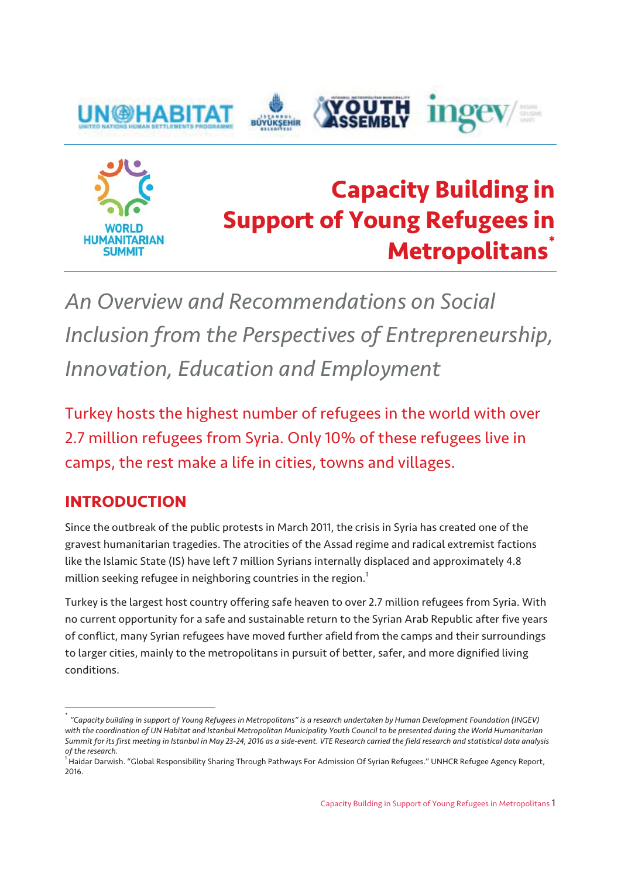



# **Capacity Building in Support of Young Refugees in Metropolitans\***

*An Overview and Recommendations on Social Inclusion from the Perspectives of Entrepreneurship, Innovation, Education and Employment* 

Turkey hosts the highest number of refugees in the world with over 2.7 million refugees from Syria. Only 10% of these refugees live in camps, the rest make a life in cities, towns and villages.

### **INTRODUCTION**

Since the outbreak of the public protests in March 2011, the crisis in Syria has created one of the gravest humanitarian tragedies. The atrocities of the Assad regime and radical extremist factions like the Islamic State (IS) have left 7 million Syrians internally displaced and approximately 4.8 million seeking refugee in neighboring countries in the region. $^{\mathrm{1}}$ 

Turkey is the largest host country offering safe heaven to over 2.7 million refugees from Syria. With no current opportunity for a safe and sustainable return to the Syrian Arab Republic after five years of conflict, many Syrian refugees have moved further afield from the camps and their surroundings to larger cities, mainly to the metropolitans in pursuit of better, safer, and more dignified living conditions.

<sup>\*</sup> *"Capacity building in support of Young Refugees in Metropolitans" is a research undertaken by Human Development Foundation (INGEV)*  with the coordination of UN Habitat and Istanbul Metropolitan Municipality Youth Council to be presented during the World Humanitarian *Summit for its first meeting in Istanbul in May 23-24, 2016 as a side-event. VTE Research carried the field research and statistical data analysis of the research.* 

<sup>&</sup>lt;sup>1</sup> Haidar Darwish. "Global Responsibility Sharing Through Pathways For Admission Of Syrian Refugees." UNHCR Refugee Agency Report, 2016.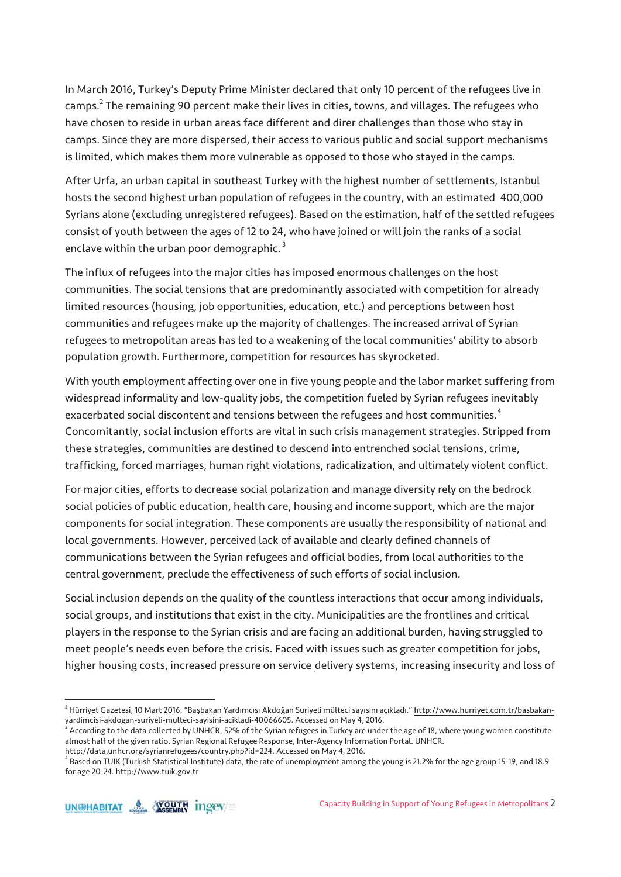In March 2016, Turkey's Deputy Prime Minister declared that only 10 percent of the refugees live in camps. $^2$  The remaining 90 percent make their lives in cities, towns, and villages. The refugees who have chosen to reside in urban areas face different and direr challenges than those who stay in camps. Since they are more dispersed, their access to various public and social support mechanisms is limited, which makes them more vulnerable as opposed to those who stayed in the camps.

After Urfa, an urban capital in southeast Turkey with the highest number of settlements, Istanbul hosts the second highest urban population of refugees in the country, with an estimated 400,000 Syrians alone (excluding unregistered refugees). Based on the estimation, half of the settled refugees consist of youth between the ages of 12 to 24, who have joined or will join the ranks of a social enclave within the urban poor demographic.<sup>3</sup>

The influx of refugees into the major cities has imposed enormous challenges on the host communities. The social tensions that are predominantly associated with competition for already limited resources (housing, job opportunities, education, etc.) and perceptions between host communities and refugees make up the majority of challenges. The increased arrival of Syrian refugees to metropolitan areas has led to a weakening of the local communities' ability to absorb population growth. Furthermore, competition for resources has skyrocketed.

With youth employment affecting over one in five young people and the labor market suffering from widespread informality and low-quality jobs, the competition fueled by Syrian refugees inevitably exacerbated social discontent and tensions between the refugees and host communities.<sup>4</sup> Concomitantly, social inclusion efforts are vital in such crisis management strategies. Stripped from these strategies, communities are destined to descend into entrenched social tensions, crime, trafficking, forced marriages, human right violations, radicalization, and ultimately violent conflict.

For major cities, efforts to decrease social polarization and manage diversity rely on the bedrock social policies of public education, health care, housing and income support, which are the major components for social integration. These components are usually the responsibility of national and local governments. However, perceived lack of available and clearly defined channels of communications between the Syrian refugees and official bodies, from local authorities to the central government, preclude the effectiveness of such efforts of social inclusion.

Social inclusion depends on the quality of the countless interactions that occur among individuals, social groups, and institutions that exist in the city. Municipalities are the frontlines and critical players in the response to the Syrian crisis and are facing an additional burden, having struggled to meet people's needs even before the crisis. Faced with issues such as greater competition for jobs, higher housing costs, increased pressure on service delivery systems, increasing insecurity and loss of

<sup>&</sup>lt;sup>2</sup> Hürriyet Gazetesi, 10 Mart 2016. "Başbakan Yardımcısı Akdoğan Suriyeli mülteci sayısını açıkladı." http://www.hurriyet.com.tr/basbakanyardimcisi-akdogan-suriyeli-multeci-sayisini-acikladi-40066605. Accessed on May 4, 2016. 3

 $^3$  According to the data collected by UNHCR, 52% of the Syrian refugees in Turkey are under the age of 18, where young women constitute almost half of the given ratio. Syrian Regional Refugee Response, Inter-Agency Information Portal. UNHCR.

http://data.unhcr.org/syrianrefugees/country.php?id=224. Accessed on May 4, 2016.

<sup>4</sup> Based on TUIK (Turkish Statistical Institute) data, the rate of unemployment among the young is 21.2% for the age group 15-19, and 18.9 for age 20-24. http://www.tuik.gov.tr.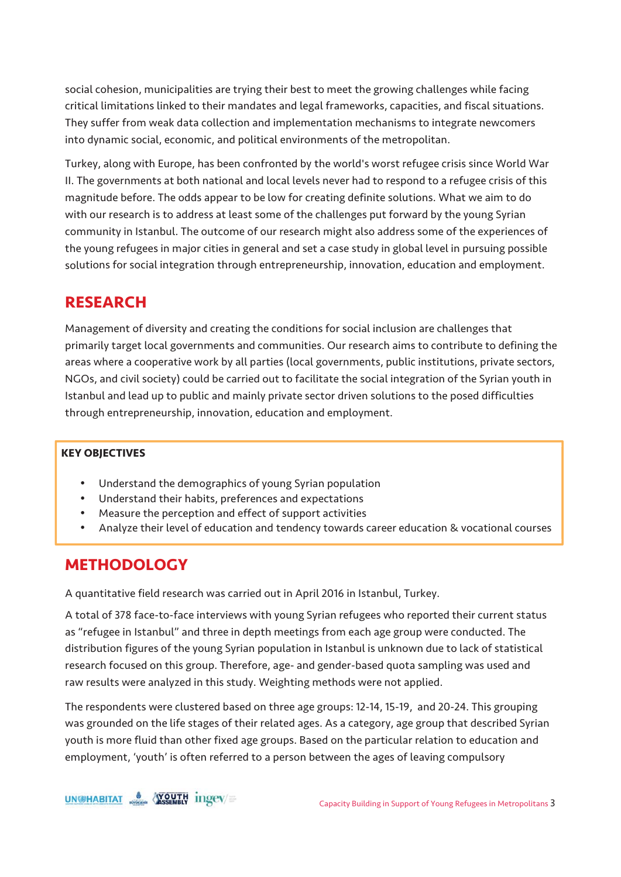social cohesion, municipalities are trying their best to meet the growing challenges while facing critical limitations linked to their mandates and legal frameworks, capacities, and fiscal situations. They suffer from weak data collection and implementation mechanisms to integrate newcomers into dynamic social, economic, and political environments of the metropolitan.

Turkey, along with Europe, has been confronted by the world's worst refugee crisis since World War II. The governments at both national and local levels never had to respond to a refugee crisis of this magnitude before. The odds appear to be low for creating definite solutions. What we aim to do with our research is to address at least some of the challenges put forward by the young Syrian community in Istanbul. The outcome of our research might also address some of the experiences of the young refugees in major cities in general and set a case study in global level in pursuing possible solutions for social integration through entrepreneurship, innovation, education and employment.

### **RESEARCH**

Management of diversity and creating the conditions for social inclusion are challenges that primarily target local governments and communities. Our research aims to contribute to defining the areas where a cooperative work by all parties (local governments, public institutions, private sectors, NGOs, and civil society) could be carried out to facilitate the social integration of the Syrian youth in Istanbul and lead up to public and mainly private sector driven solutions to the posed difficulties through entrepreneurship, innovation, education and employment.

#### **KEY OBJECTIVES**

- Understand the demographics of young Syrian population
- Understand their habits, preferences and expectations
- Measure the perception and effect of support activities
- Analyze their level of education and tendency towards career education & vocational courses

### **METHODOLOGY**

A quantitative field research was carried out in April 2016 in Istanbul, Turkey.

A total of 378 face-to-face interviews with young Syrian refugees who reported their current status as "refugee in Istanbul" and three in depth meetings from each age group were conducted. The distribution figures of the young Syrian population in Istanbul is unknown due to lack of statistical research focused on this group. Therefore, age- and gender-based quota sampling was used and raw results were analyzed in this study. Weighting methods were not applied.

The respondents were clustered based on three age groups: 12-14, 15-19, and 20-24. This grouping was grounded on the life stages of their related ages. As a category, age group that described Syrian youth is more fluid than other fixed age groups. Based on the particular relation to education and employment, 'youth' is often referred to a person between the ages of leaving compulsory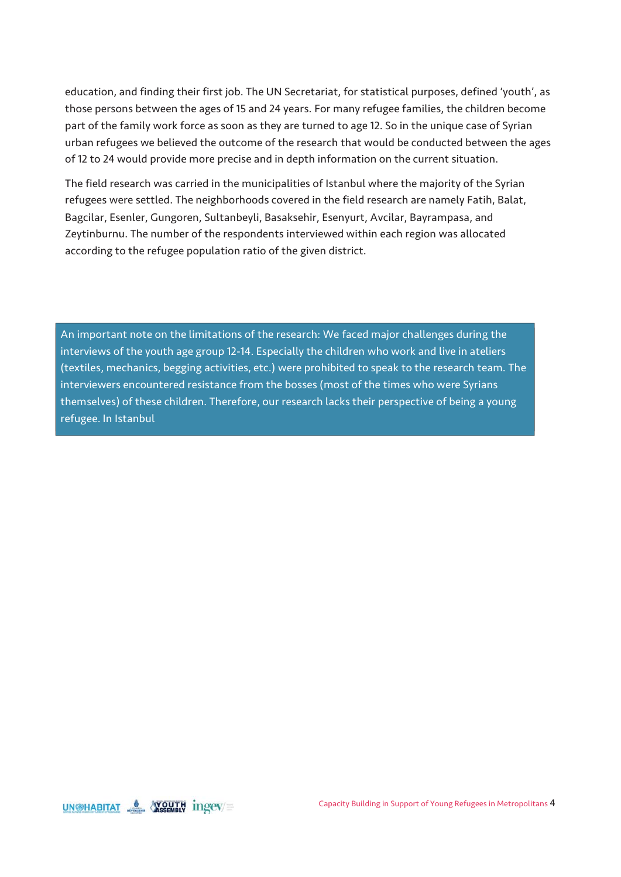education, and finding their first job. The UN Secretariat, for statistical purposes, defined 'youth', as those persons between the ages of 15 and 24 years. For many refugee families, the children become part of the family work force as soon as they are turned to age 12. So in the unique case of Syrian urban refugees we believed the outcome of the research that would be conducted between the ages of 12 to 24 would provide more precise and in depth information on the current situation.

The field research was carried in the municipalities of Istanbul where the majority of the Syrian refugees were settled. The neighborhoods covered in the field research are namely Fatih, Balat, Bagcilar, Esenler, Gungoren, Sultanbeyli, Basaksehir, Esenyurt, Avcilar, Bayrampasa, and Zeytinburnu. The number of the respondents interviewed within each region was allocated according to the refugee population ratio of the given district.

An important note on the limitations of the research: We faced major challenges during the interviews of the youth age group 12-14. Especially the children who work and live in ateliers (textiles, mechanics, begging activities, etc.) were prohibited to speak to the research team. The interviewers encountered resistance from the bosses (most of the times who were Syrians themselves) of these children. Therefore, our research lacks their perspective of being a young refugee. In Istanbul

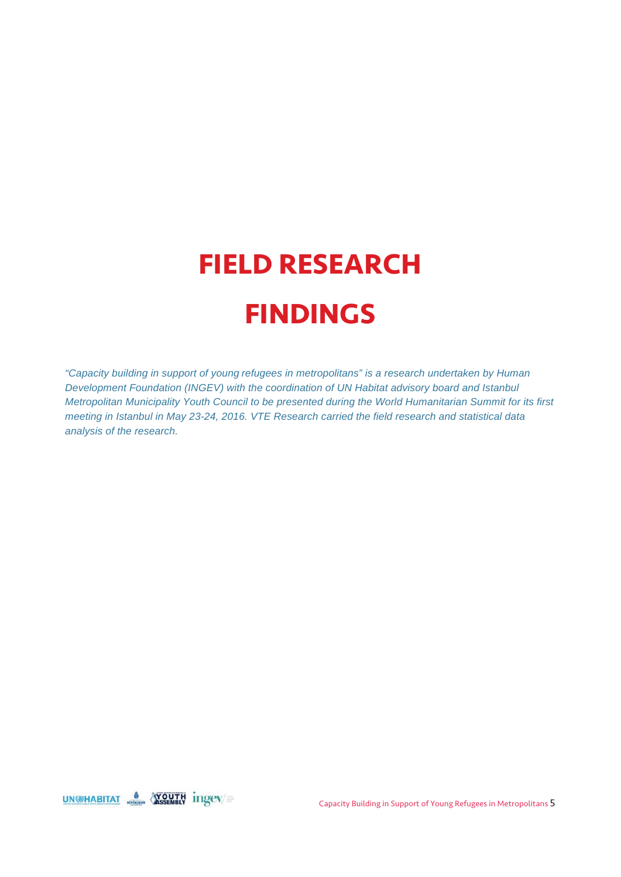# **FIELD RESEARCH FINDINGS**

*"Capacity building in support of young refugees in metropolitans" is a research undertaken by Human Development Foundation (INGEV) with the coordination of UN Habitat advisory board and Istanbul Metropolitan Municipality Youth Council to be presented during the World Humanitarian Summit for its first meeting in Istanbul in May 23-24, 2016. VTE Research carried the field research and statistical data analysis of the research.* 

UN@HABITAT SEMBLY Ingev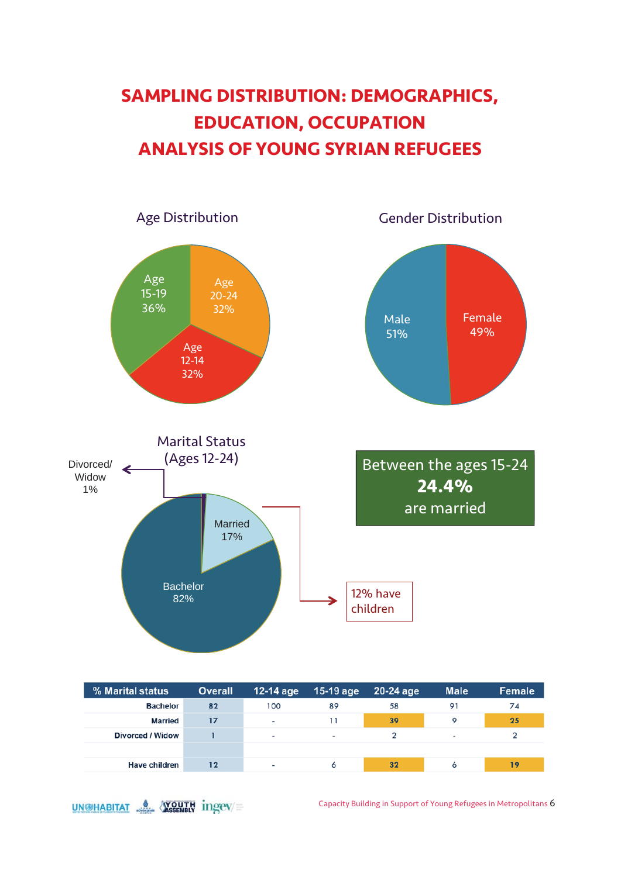# **SAMPLING DISTRIBUTION: DEMOGRAPHICS, EDUCATION, OCCUPATION ANALYSIS OF YOUNG SYRIAN REFUGEES**



| % Marital status     | <b>Overall</b> | 12-14 age                | $15-19$ age    | 20-24 age | <b>Male</b> | Female |
|----------------------|----------------|--------------------------|----------------|-----------|-------------|--------|
| <b>Bachelor</b>      | 82             | 100                      | 89             | 58        | 91          | 74     |
| Married              | 17             | ٠                        |                | 39        | o           | 25     |
| Divorced / Widow     |                | $\overline{\phantom{a}}$ | $\blacksquare$ |           | ٠           |        |
|                      |                |                          |                |           |             |        |
| <b>Have children</b> | 12             | $\overline{\phantom{a}}$ | 6              | 32        | 6           | 19     |



Capacity Building in Support of Young Refugees in Metropolitans 6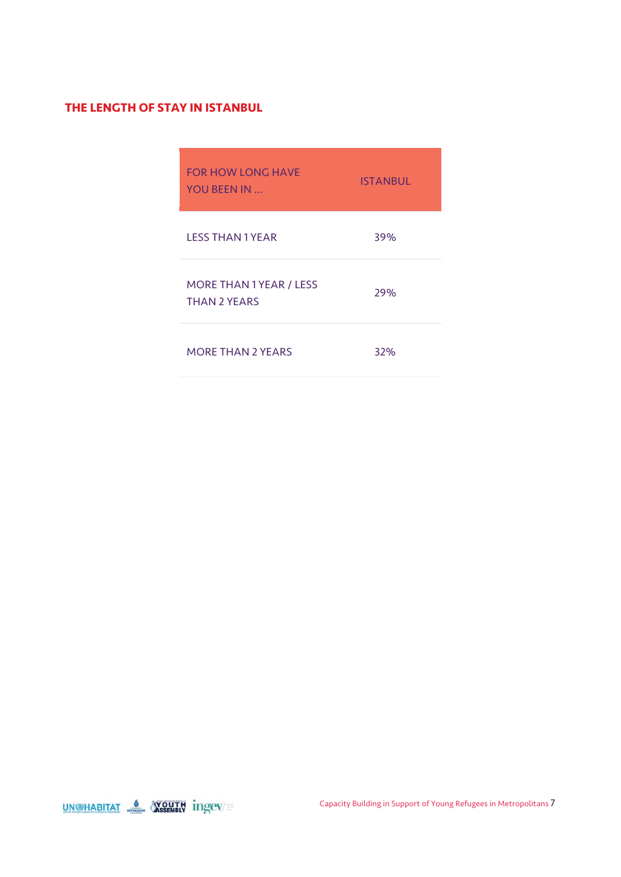#### **THE LENGTH OF STAY IN ISTANBUL**

| <b>FOR HOW LONG HAVE</b><br>YOU BEEN IN               | <b>ISTANBUL</b> |
|-------------------------------------------------------|-----------------|
| <b>LESS THAN 1 YEAR</b>                               | 39%             |
| <b>MORE THAN 1 YEAR / LESS</b><br><b>THAN 2 YEARS</b> | 29%             |
| <b>MORE THAN 2 YEARS</b>                              | 32%             |

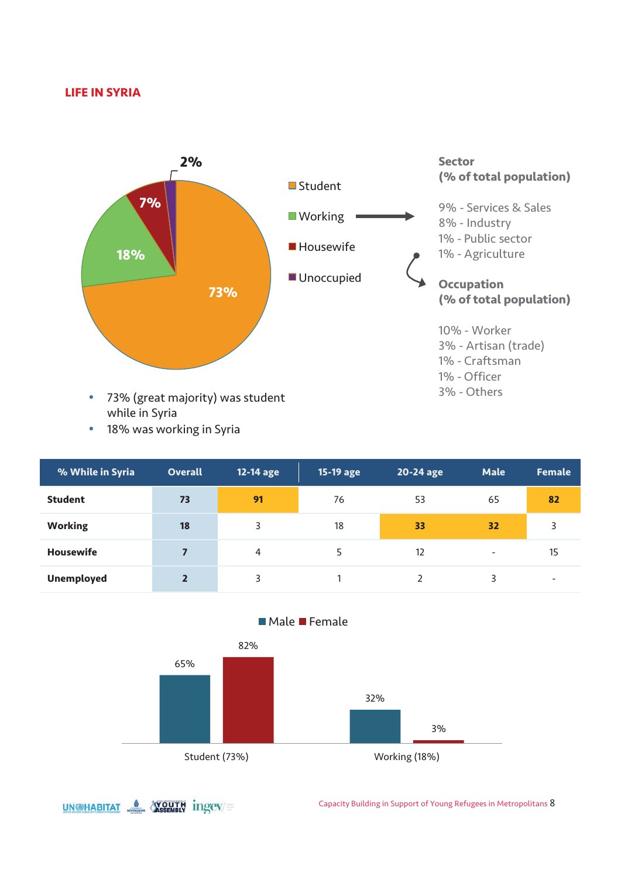#### **LIFE IN SYRIA**



- while in Syria
- 18% was working in Syria

| % While in Syria  | <b>Overall</b> | 12-14 age | 15-19 age | 20-24 age | <b>Male</b>              | <b>Female</b> |
|-------------------|----------------|-----------|-----------|-----------|--------------------------|---------------|
| <b>Student</b>    | 73             | 91        | 76        | 53        | 65                       | 82            |
| <b>Working</b>    | 18             | 3         | 18        | 33        | 32                       | 3             |
| <b>Housewife</b>  | 7              | 4         |           | 12        | $\overline{\phantom{a}}$ | 15            |
| <b>Unemployed</b> | $\overline{2}$ | 3         |           |           | 3                        |               |



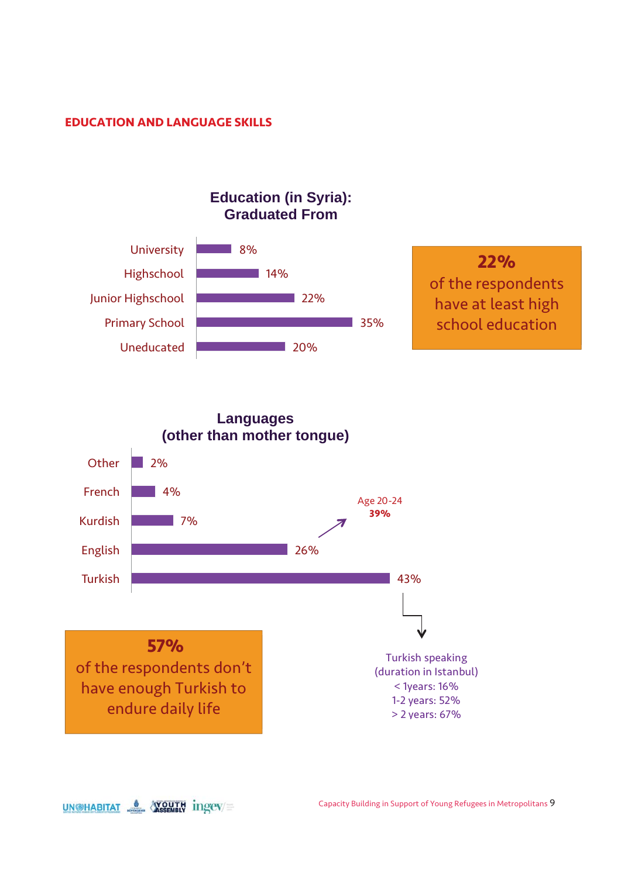#### **EDUCATION AND LANGUAGE SKILLS**





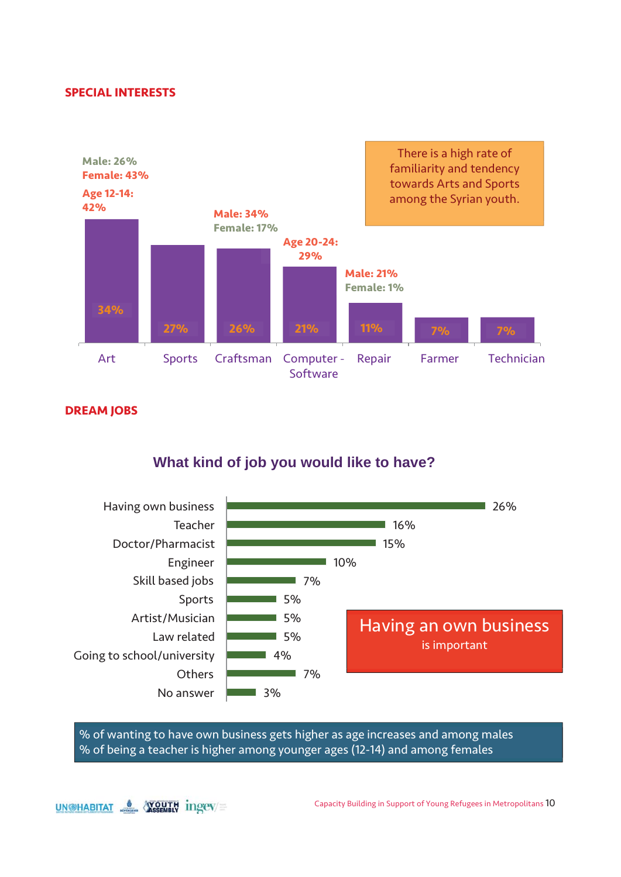#### **SPECIAL INTERESTS**

**DREAM JOBS** 





% of wanting to have own business gets higher as age increases and among males % of being a teacher is higher among younger ages (12-14) and among females

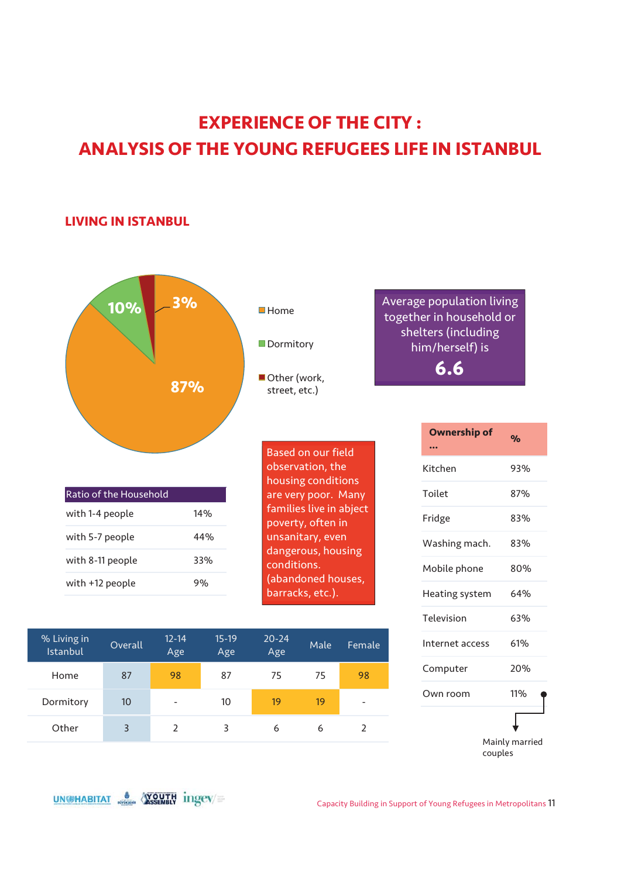## **EXPERIENCE OF THE CITY : ANALYSIS OF THE YOUNG REFUGEES LIFE IN ISTANBUL**

#### **LIVING IN ISTANBUL**



| % Living in<br>Istanbul | Overall | $12 - 14$<br>Age | $15-19$<br>Age | $20 - 24$<br>Age | Male | Female                   |
|-------------------------|---------|------------------|----------------|------------------|------|--------------------------|
| Home                    | 87      | 98               | 87             | 75               | 75   | 98                       |
| Dormitory               | 10      | -                | 10             | 19               | 19   | $\overline{\phantom{0}}$ |
| Other                   | 3       |                  | 3              | 6                | 6    |                          |



**6.6**

UN@HABITAT & YOUTH ingev=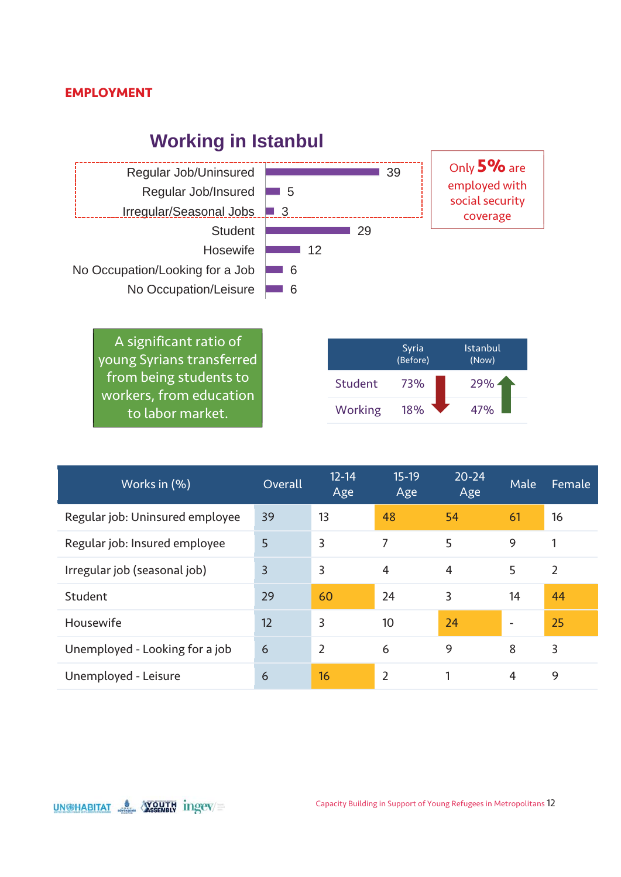#### **EMPLOYMENT**

### **Working in Istanbul**



A significant ratio of young Syrians transferred from being students to workers, from education to labor market.

|         | Syria<br>(Before) | <b>Istanbul</b><br>(Now) |
|---------|-------------------|--------------------------|
| Student | 73%               | 29%                      |
| Working | 18%               | 47%                      |

| Works in (%)                    | Overall        | $12 - 14$<br>Age | $15-19$<br>Age | $20 - 24$<br>Age | Male                     | Female         |
|---------------------------------|----------------|------------------|----------------|------------------|--------------------------|----------------|
| Regular job: Uninsured employee | 39             | 13               | 48             | 54               | 61                       | 16             |
| Regular job: Insured employee   | 5              | 3                | 7              | 5                | 9                        |                |
| Irregular job (seasonal job)    | $\overline{3}$ | 3                | $\overline{4}$ | $\overline{4}$   | 5                        | $\overline{2}$ |
| Student                         | 29             | 60               | 24             | 3                | 14                       | 44             |
| Housewife                       | 12             | 3                | 10             | 24               | $\overline{\phantom{a}}$ | 25             |
| Unemployed - Looking for a job  | 6              | $\overline{2}$   | 6              | 9                | 8                        | 3              |
| Unemployed - Leisure            | 6              | 16               | $\overline{2}$ | 1                | $\overline{4}$           | 9              |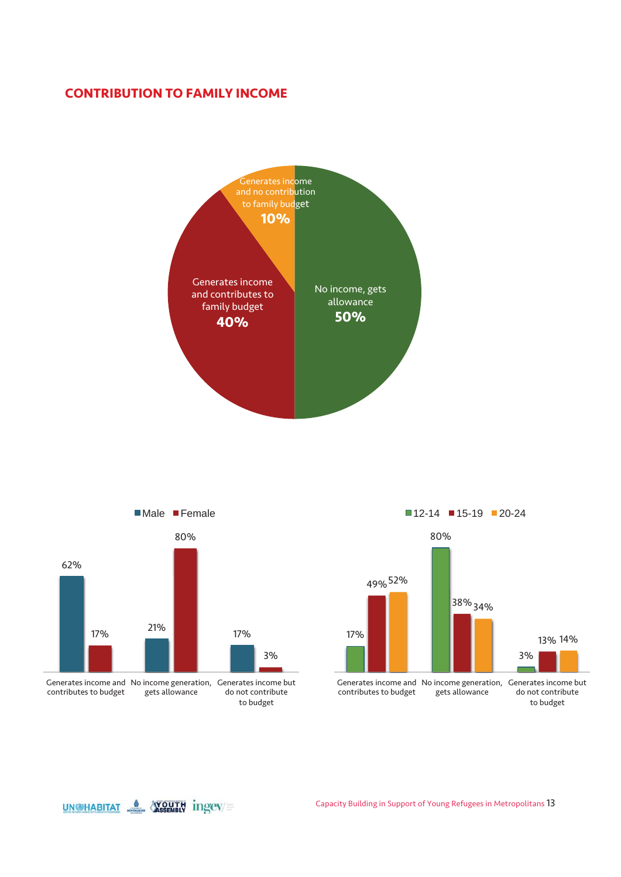### **CONTRIBUTION TO FAMILY INCOME**





contributes to budget gets allowance do not contribute to budget

17% 80% 3% 49% 52% 38% 34% 13% 14% Generates income and No income generation, Generates income but contributes to budget gets allowance do not contribute to budget  $12-14$  15-19 20-24

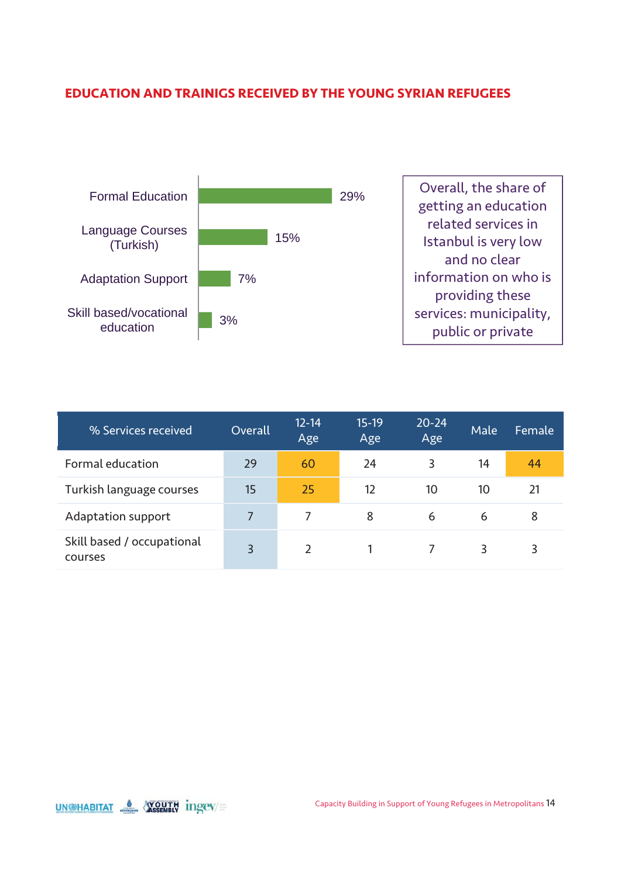### **EDUCATION AND TRAINIGS RECEIVED BY THE YOUNG SYRIAN REFUGEES**



| % Services received                   | Overall | $12 - 14$<br>Age | $15-19$<br>Age | $20 - 24$<br>Age | Male | Female |
|---------------------------------------|---------|------------------|----------------|------------------|------|--------|
| Formal education                      | 29      | 60               | 24             | 3                | 14   | 44     |
| Turkish language courses              | 15      | 25               | 12             | 10               | 10   | 21     |
| Adaptation support                    | 7       |                  | 8              | 6                | 6    | 8      |
| Skill based / occupational<br>courses | 3       | $\mathcal{P}$    |                |                  | 3    | 3      |

UNGHABITAT & WOUTH ingev=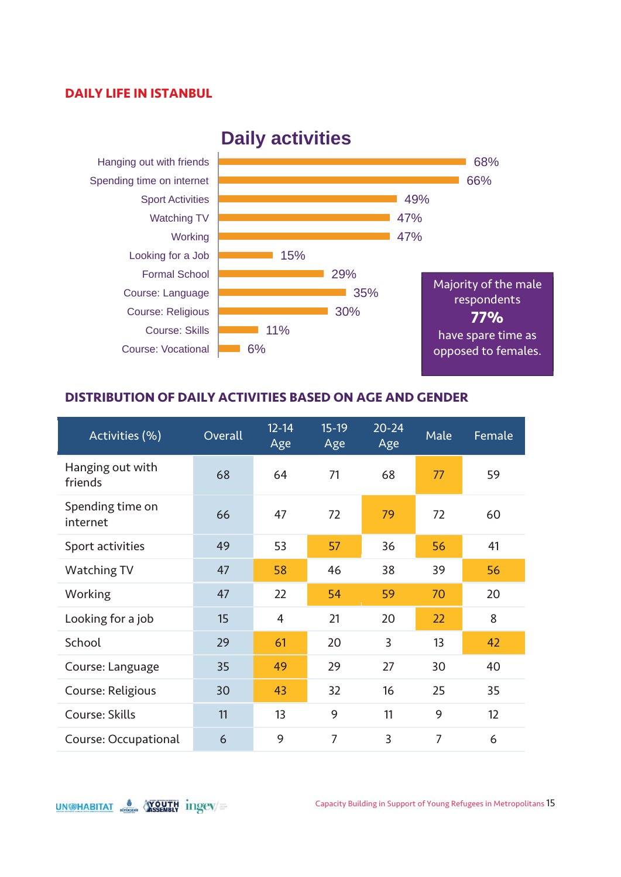#### **DAILY LIFE IN ISTANBUL**



### **Daily activities**

#### **DISTRIBUTION OF DAILY ACTIVITIES BASED ON AGE AND GENDER**

| Activities (%)               | Overall | $12 - 14$<br>Age | $15-19$<br>Age | $20 - 24$<br>Age | Male           | Female |
|------------------------------|---------|------------------|----------------|------------------|----------------|--------|
| Hanging out with<br>friends  | 68      | 64               | 71             | 68               | 77             | 59     |
| Spending time on<br>internet | 66      | 47               | 72             | 79               | 72             | 60     |
| Sport activities             | 49      | 53               | 57             | 36               | 56             | 41     |
| Watching TV                  | 47      | 58               | 46             | 38               | 39             | 56     |
| Working                      | 47      | 22               | 54             | 59               | 70             | 20     |
| Looking for a job            | 15      | $\overline{4}$   | 21             | 20               | 22             | 8      |
| School                       | 29      | 61               | 20             | 3                | 13             | 42     |
| Course: Language             | 35      | 49               | 29             | 27               | 30             | 40     |
| Course: Religious            | 30      | 43               | 32             | 16               | 25             | 35     |
| Course: Skills               | 11      | 13               | 9              | 11               | 9              | 12     |
| Course: Occupational         | 6       | 9                | $\overline{7}$ | 3                | $\overline{7}$ | 6      |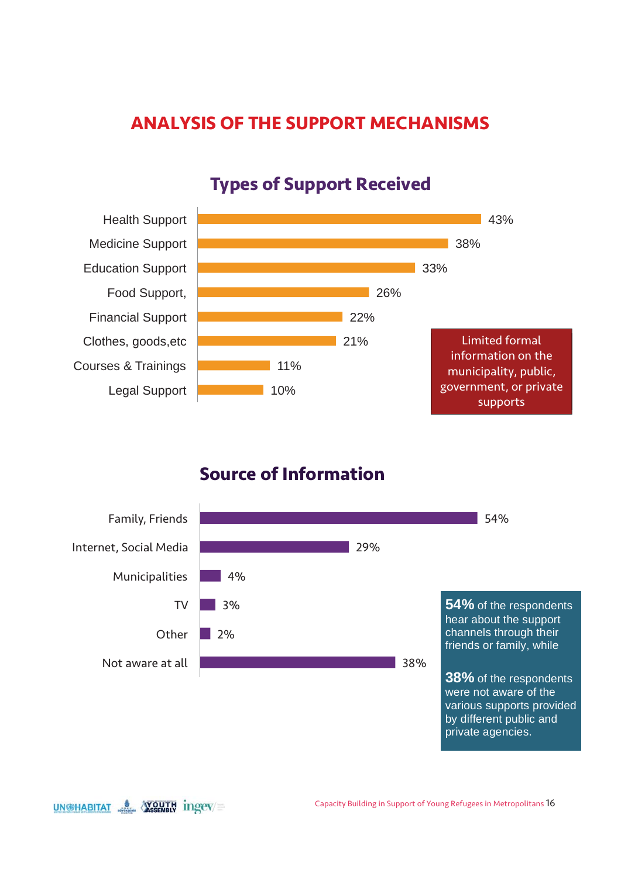### **ANALYSIS OF THE SUPPORT MECHANISMS**



### **Types of Support Received**

### **Source of Information**



UN@HABITAT & YOUTH ingev=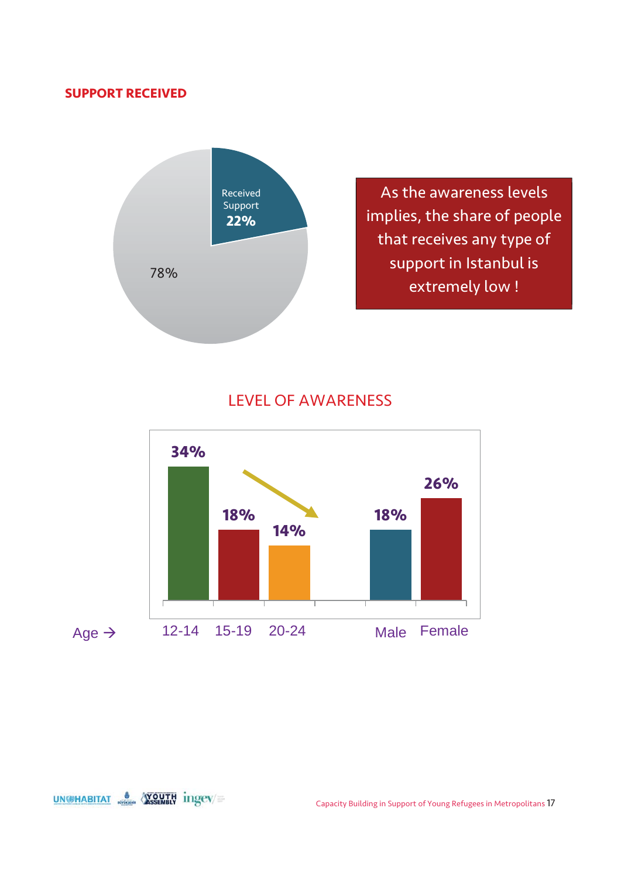### **SUPPORT RECEIVED**



### LEVEL OF AWARENESS

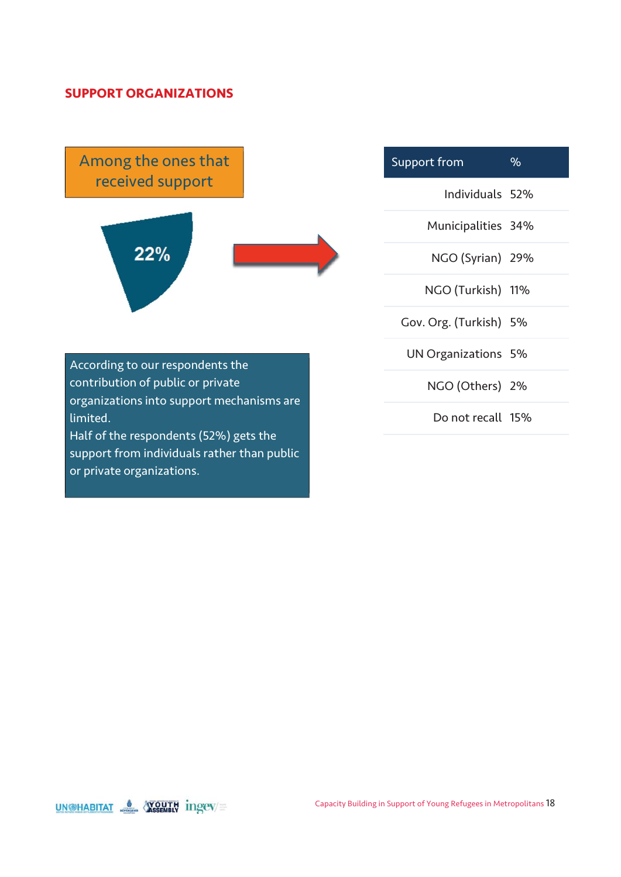#### **SUPPORT ORGANIZATIONS**

Among the ones that received support



Support from % Individuals 52% Municipalities 34% NGO (Syrian) 29% NGO (Turkish) 11% Gov. Org. (Turkish) 5% UN Organizations 5% NGO (Others) 2% Do not recall 15%

According to our respondents the contribution of public or private organizations into support mechanisms are limited. Half of the respondents (52%) gets the support from individuals rather than public

or private organizations.

UNGHABITAT & WOUTH ingev=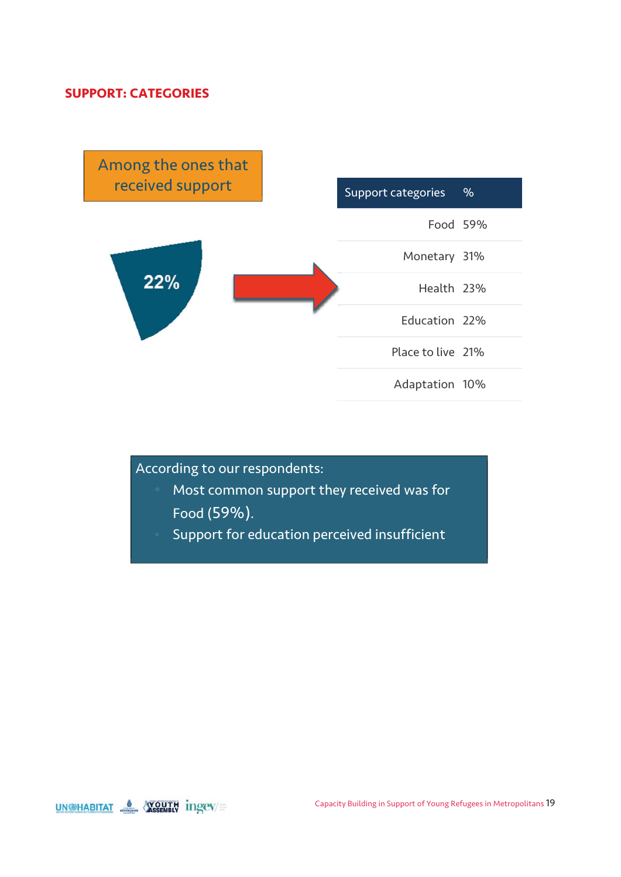### **SUPPORT: CATEGORIES**



According to our respondents:

- Most common support they received was for Food (59%).
- Support for education perceived insufficient

UNGHABITAT & WOUTH ingev=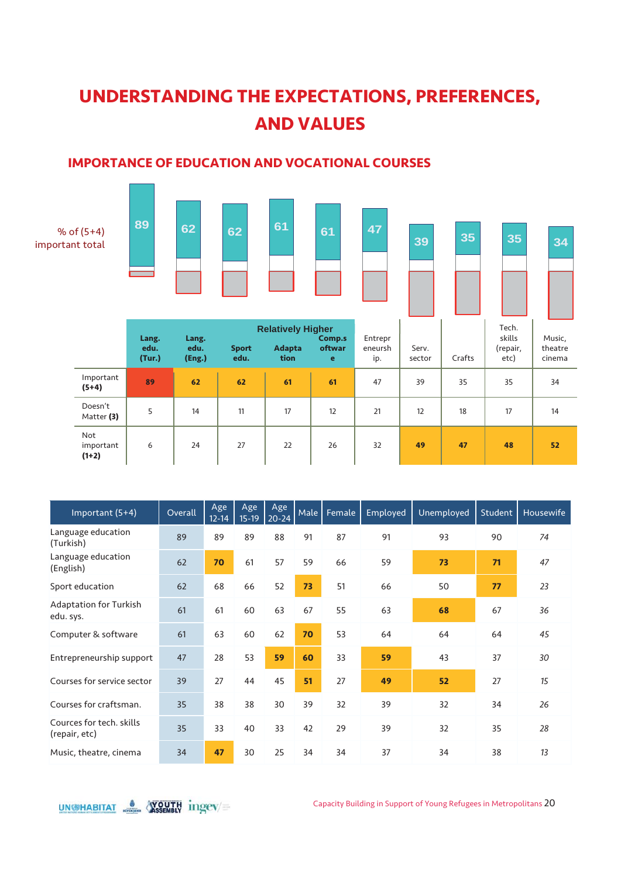# **UNDERSTANDING THE EXPECTATIONS, PREFERENCES, AND VALUES**

### **IMPORTANCE OF EDUCATION AND VOCATIONAL COURSES**



| Important (5+4)                            | Overall | Age<br>$12 - 14$ | Age<br>$15-19$ | Age<br>$20 - 24$ | Male | Female | Employed | Unemployed | Student | Housewife |
|--------------------------------------------|---------|------------------|----------------|------------------|------|--------|----------|------------|---------|-----------|
| Language education<br>(Turkish)            | 89      | 89               | 89             | 88               | 91   | 87     | 91       | 93         | 90      | 74        |
| Language education<br>(English)            | 62      | 70               | 61             | 57               | 59   | 66     | 59       | 73         | 71      | 47        |
| Sport education                            | 62      | 68               | 66             | 52               | 73   | 51     | 66       | 50         | 77      | 23        |
| <b>Adaptation for Turkish</b><br>edu. sys. | 61      | 61               | 60             | 63               | 67   | 55     | 63       | 68         | 67      | 36        |
| Computer & software                        | 61      | 63               | 60             | 62               | 70   | 53     | 64       | 64         | 64      | 45        |
| Entrepreneurship support                   | 47      | 28               | 53             | 59               | 60   | 33     | 59       | 43         | 37      | 30        |
| Courses for service sector                 | 39      | 27               | 44             | 45               | 51   | 27     | 49       | 52         | 27      | 15        |
| Courses for craftsman.                     | 35      | 38               | 38             | 30               | 39   | 32     | 39       | 32         | 34      | 26        |
| Cources for tech. skills<br>(repair, etc)  | 35      | 33               | 40             | 33               | 42   | 29     | 39       | 32         | 35      | 28        |
| Music, theatre, cinema                     | 34      | 47               | 30             | 25               | 34   | 34     | 37       | 34         | 38      | 13        |



Capacity Building in Support of Young Refugees in Metropolitans 20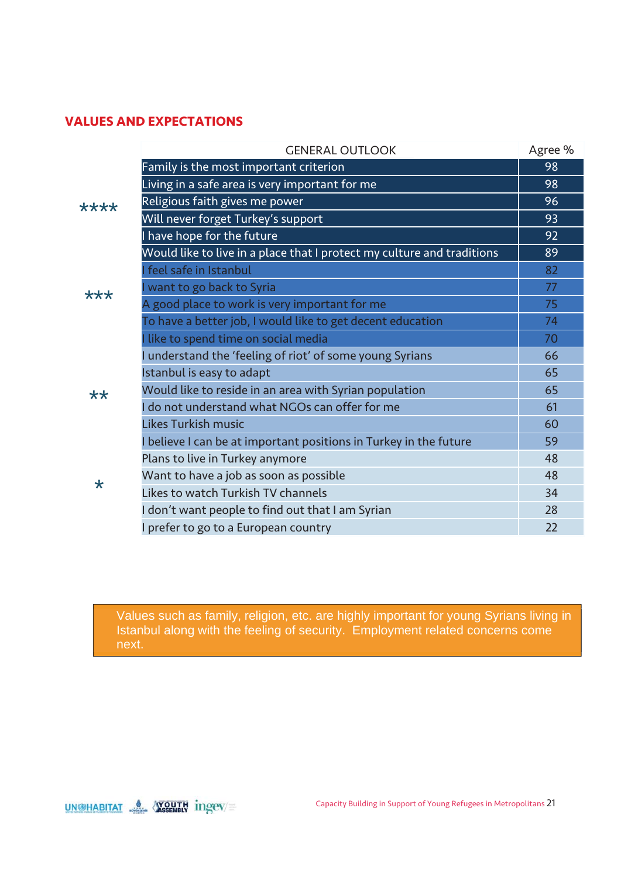### **VALUES AND EXPECTATIONS**

|         | <b>GENERAL OUTLOOK</b>                                                 | Agree % |
|---------|------------------------------------------------------------------------|---------|
|         | Family is the most important criterion                                 | 98      |
|         | Living in a safe area is very important for me                         | 98      |
| ****    | Religious faith gives me power                                         | 96      |
|         | Will never forget Turkey's support                                     | 93      |
|         | I have hope for the future                                             | 92      |
|         | Would like to live in a place that I protect my culture and traditions | 89      |
|         | I feel safe in Istanbul                                                | 82      |
| ***     | I want to go back to Syria                                             | 77      |
|         | A good place to work is very important for me                          | 75      |
|         | To have a better job, I would like to get decent education             | 74      |
|         | I like to spend time on social media                                   | 70      |
|         | I understand the 'feeling of riot' of some young Syrians               | 66      |
|         | Istanbul is easy to adapt                                              | 65      |
| **      | Would like to reside in an area with Syrian population                 | 65      |
|         | I do not understand what NGOs can offer for me                         | 61      |
|         | Likes Turkish music                                                    | 60      |
|         | I believe I can be at important positions in Turkey in the future      | 59      |
|         | Plans to live in Turkey anymore                                        | 48      |
| $\star$ | Want to have a job as soon as possible                                 | 48      |
|         | Likes to watch Turkish TV channels                                     | 34      |
|         | I don't want people to find out that I am Syrian                       | 28      |
|         | I prefer to go to a European country                                   | 22      |

Values such as family, religion, etc. are highly important for young Syrians living in Istanbul along with the feeling of security. Employment related concerns come next.

UN@HABITAT & **YOUTH** ingev=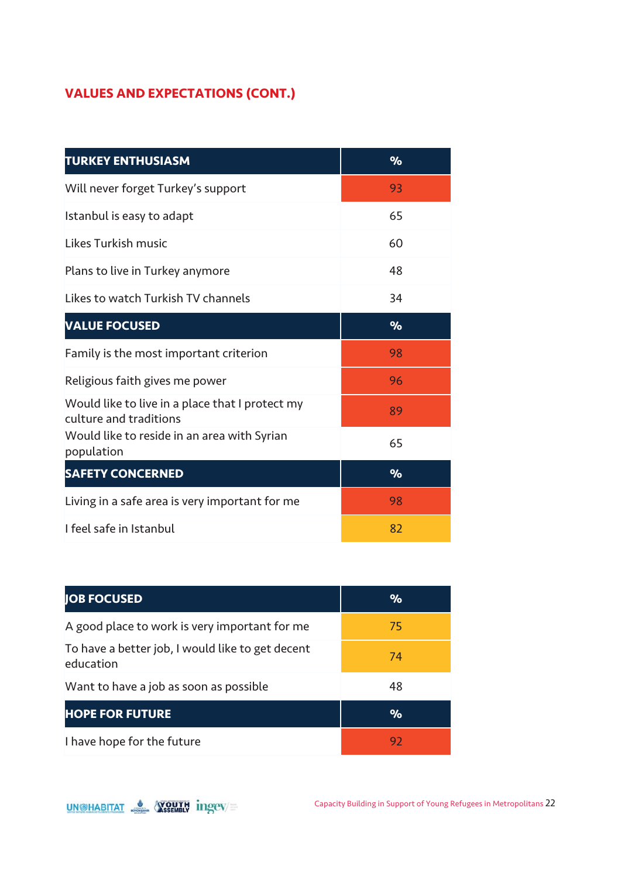### **VALUES AND EXPECTATIONS (CONT.)**

| <b>TURKEY ENTHUSIASM</b>                                                  | $\%$ |
|---------------------------------------------------------------------------|------|
| Will never forget Turkey's support                                        | 93   |
| Istanbul is easy to adapt                                                 | 65   |
| Likes Turkish music                                                       | 60   |
| Plans to live in Turkey anymore                                           | 48   |
| Likes to watch Turkish TV channels                                        | 34   |
| <b>VALUE FOCUSED</b>                                                      | $\%$ |
| Family is the most important criterion                                    | 98   |
| Religious faith gives me power                                            | 96   |
| Would like to live in a place that I protect my<br>culture and traditions | 89   |
| Would like to reside in an area with Syrian<br>population                 | 65   |
| <b>SAFETY CONCERNED</b>                                                   | $\%$ |
| Living in a safe area is very important for me                            | 98   |
| I feel safe in Istanbul                                                   | 82   |

| <b>JOB FOCUSED</b>                                            | $\%$ |
|---------------------------------------------------------------|------|
| A good place to work is very important for me                 | 75   |
| To have a better job, I would like to get decent<br>education | 74   |
| Want to have a job as soon as possible                        | 48   |
| <b>HOPE FOR FUTURE</b>                                        | $\%$ |
| I have hope for the future                                    | 92   |

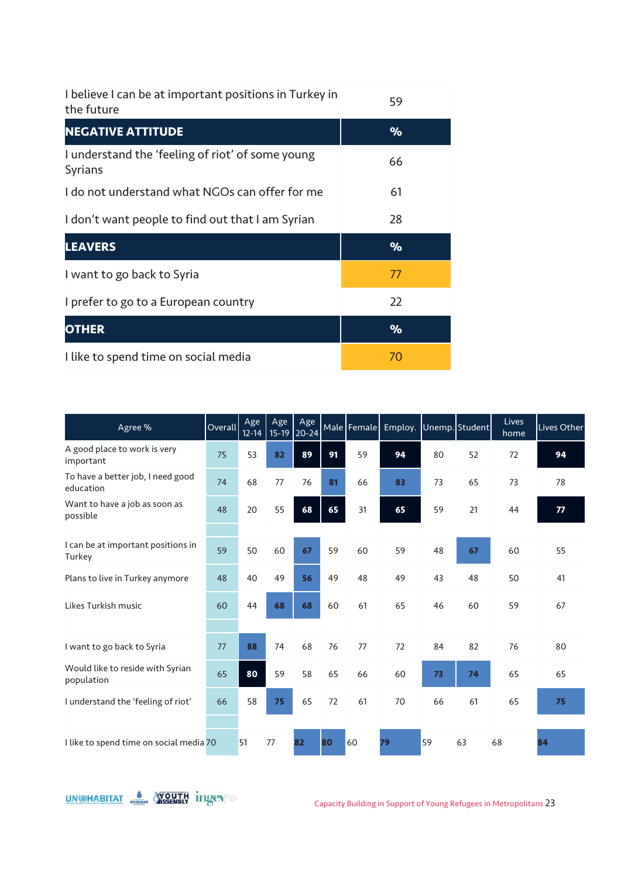| I believe I can be at important positions in Turkey in<br>the future | 59   |
|----------------------------------------------------------------------|------|
| <b>NEGATIVE ATTITUDE</b>                                             | $\%$ |
| I understand the 'feeling of riot' of some young<br>Syrians          | 66   |
| I do not understand what NGOs can offer for me                       | 61   |
| I don't want people to find out that I am Syrian                     | 28   |
| <b>LEAVERS</b>                                                       | $\%$ |
| I want to go back to Syria                                           | 77   |
| I prefer to go to a European country                                 | 22   |
| <b>OTHER</b>                                                         | $\%$ |
| I like to spend time on social media                                 | 70   |

| Agree %                                        | Overall | Age<br>$12 - 14$ | Age | Age<br>15-19 20-24 |    | Male   Female | Employ. Unemp. Student |    |    | Lives<br>home | Lives Other |
|------------------------------------------------|---------|------------------|-----|--------------------|----|---------------|------------------------|----|----|---------------|-------------|
| A good place to work is very<br>important      | 75      | 53               | 82  | 89                 | 91 | 59            | 94                     | 80 | 52 | 72            | 94          |
| To have a better job, I need good<br>education | 74      | 68               | 77  | 76                 | 81 | 66            | 83                     | 73 | 65 | 73            | 78          |
| Want to have a job as soon as<br>possible      | 48      | 20               | 55  | 68                 | 65 | 31            | 65                     | 59 | 21 | 44            | 77          |
|                                                |         |                  |     |                    |    |               |                        |    |    |               |             |
| I can be at important positions in<br>Turkey   | 59      | 50               | 60  | 67                 | 59 | 60            | 59                     | 48 | 67 | 60            | 55          |
| Plans to live in Turkey anymore                | 48      | 40               | 49  | 56                 | 49 | 48            | 49                     | 43 | 48 | 50            | 41          |
| Likes Turkish music                            | 60      | 44               | 68  | 68                 | 60 | 61            | 65                     | 46 | 60 | 59            | 67          |
|                                                |         |                  |     |                    |    |               |                        |    |    |               |             |
| I want to go back to Syria                     | 77      | 88               | 74  | 68                 | 76 | 77            | 72                     | 84 | 82 | 76            | 80          |
| Would like to reside with Syrian<br>population | 65      | 80               | 59  | 58                 | 65 | 66            | 60                     | 73 | 74 | 65            | 65          |
| I understand the 'feeling of riot'             | 66      | 58               | 75  | 65                 | 72 | 61            | 70                     | 66 | 61 | 65            | 75          |
|                                                |         |                  |     |                    |    |               |                        |    |    |               |             |
| I like to spend time on social media 70        |         | 51               | 77  | 82                 | 80 | 60            | 79                     | 59 | 63 | 68            | 84          |

UNGHABITAT S WOUTH ingev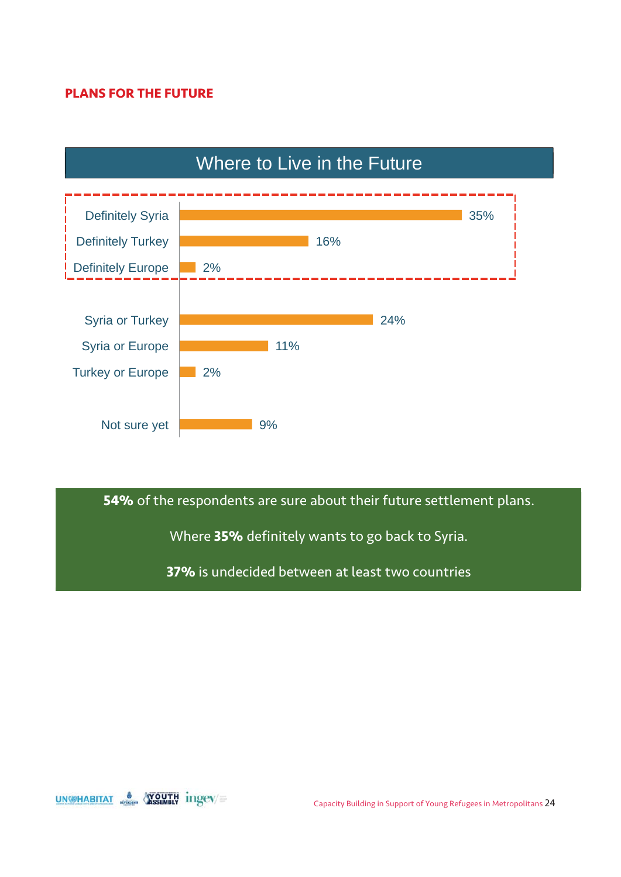### **PLANS FOR THE FUTURE**



# Where to Live in the Future

**54%** of the respondents are sure about their future settlement plans.

Where **35%** definitely wants to go back to Syria.

**37%** is undecided between at least two countries

UN@HABITAT & YOUTH ingev/=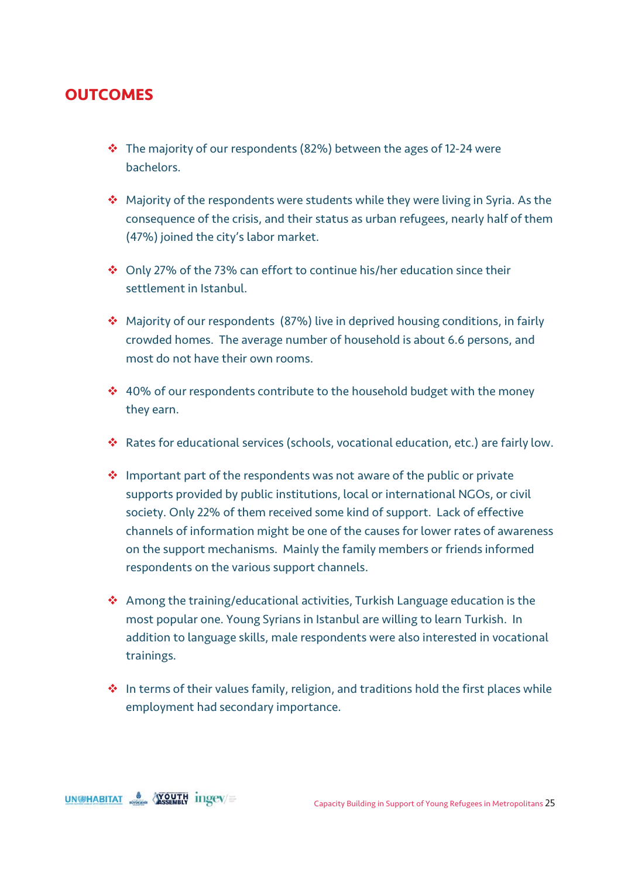### **OUTCOMES**

- $\cdot \cdot$  The majority of our respondents (82%) between the ages of 12-24 were bachelors.
- ◆ Majority of the respondents were students while they were living in Syria. As the consequence of the crisis, and their status as urban refugees, nearly half of them (47%) joined the city's labor market.
- Only 27% of the 73% can effort to continue his/her education since their settlement in Istanbul.
- Majority of our respondents (87%) live in deprived housing conditions, in fairly crowded homes. The average number of household is about 6.6 persons, and most do not have their own rooms.
- ❖ 40% of our respondents contribute to the household budget with the money they earn.
- Rates for educational services (schools, vocational education, etc.) are fairly low.
- $\cdot$  Important part of the respondents was not aware of the public or private supports provided by public institutions, local or international NGOs, or civil society. Only 22% of them received some kind of support. Lack of effective channels of information might be one of the causes for lower rates of awareness on the support mechanisms. Mainly the family members or friends informed respondents on the various support channels.
- Among the training/educational activities, Turkish Language education is the most popular one. Young Syrians in Istanbul are willing to learn Turkish. In addition to language skills, male respondents were also interested in vocational trainings.
- $\cdot$  In terms of their values family, religion, and traditions hold the first places while employment had secondary importance.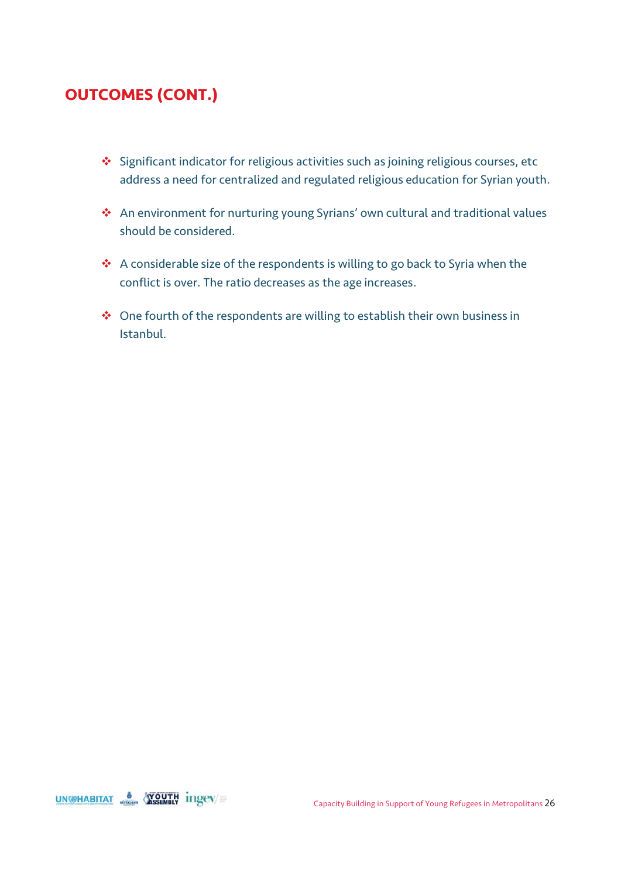### **OUTCOMES (CONT.)**

- ❖ Significant indicator for religious activities such as joining religious courses, etc address a need for centralized and regulated religious education for Syrian youth.
- An environment for nurturing young Syrians' own cultural and traditional values should be considered.
- ◆ A considerable size of the respondents is willing to go back to Syria when the conflict is over. The ratio decreases as the age increases.
- ◆ One fourth of the respondents are willing to establish their own business in Istanbul.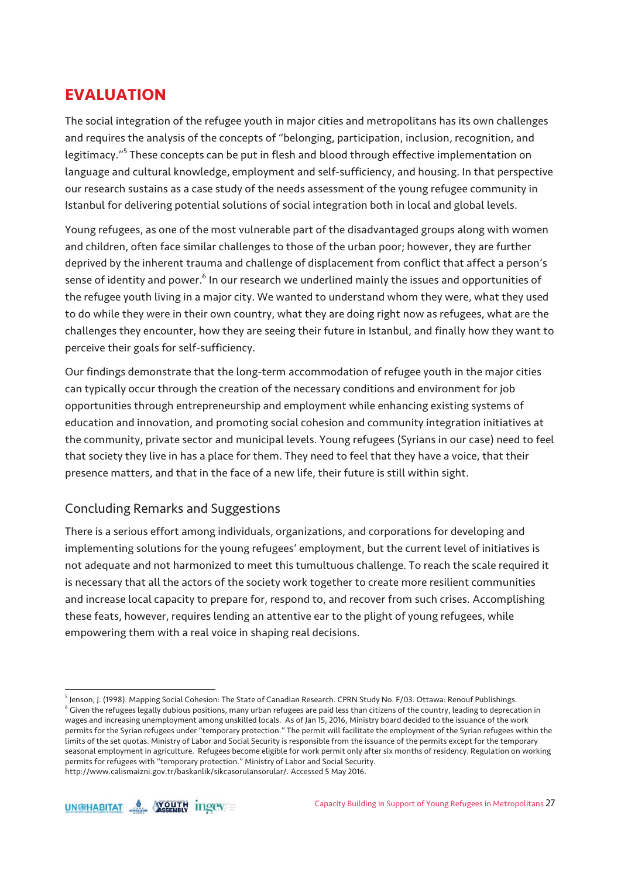### **EVALUATION**

The social integration of the refugee youth in major cities and metropolitans has its own challenges and requires the analysis of the concepts of "belonging, participation, inclusion, recognition, and legitimacy."<sup>5</sup> These concepts can be put in flesh and blood through effective implementation on language and cultural knowledge, employment and self-sufficiency, and housing. In that perspective our research sustains as a case study of the needs assessment of the young refugee community in Istanbul for delivering potential solutions of social integration both in local and global levels.

Young refugees, as one of the most vulnerable part of the disadvantaged groups along with women and children, often face similar challenges to those of the urban poor; however, they are further deprived by the inherent trauma and challenge of displacement from conflict that affect a person's sense of identity and power. $^6$  In our research we underlined mainly the issues and opportunities of the refugee youth living in a major city. We wanted to understand whom they were, what they used to do while they were in their own country, what they are doing right now as refugees, what are the challenges they encounter, how they are seeing their future in Istanbul, and finally how they want to perceive their goals for self-sufficiency.

Our findings demonstrate that the long-term accommodation of refugee youth in the major cities can typically occur through the creation of the necessary conditions and environment for job opportunities through entrepreneurship and employment while enhancing existing systems of education and innovation, and promoting social cohesion and community integration initiatives at the community, private sector and municipal levels. Young refugees (Syrians in our case) need to feel that society they live in has a place for them. They need to feel that they have a voice, that their presence matters, and that in the face of a new life, their future is still within sight.

### Concluding Remarks and Suggestions

There is a serious effort among individuals, organizations, and corporations for developing and implementing solutions for the young refugees' employment, but the current level of initiatives is not adequate and not harmonized to meet this tumultuous challenge. To reach the scale required it is necessary that all the actors of the society work together to create more resilient communities and increase local capacity to prepare for, respond to, and recover from such crises. Accomplishing these feats, however, requires lending an attentive ear to the plight of young refugees, while empowering them with a real voice in shaping real decisions.

<sup>&</sup>lt;sup>5</sup> Jenson, J. (1998). Mapping Social Cohesion: The State of Canadian Research. CPRN Study No. F/03. Ottawa: Renouf Publishings.<br><sup>6</sup> Civen the refugees legally dubious positions, manusurben refugees are paid less than siti  $6$  Given the refugees legally dubious positions, many urban refugees are paid less than citizens of the country, leading to deprecation in wages and increasing unemployment among unskilled locals. As of Jan 15, 2016, Ministry board decided to the issuance of the work permits for the Syrian refugees under "temporary protection." The permit will facilitate the employment of the Syrian refugees within the limits of the set quotas. Ministry of Labor and Social Security is responsible from the issuance of the permits except for the temporary seasonal employment in agriculture. Refugees become eligible for work permit only after six months of residency. Regulation on working permits for refugees with "temporary protection." Ministry of Labor and Social Security. http://www.calismaizni.gov.tr/baskanlik/sikcasorulansorular/. Accessed 5 May 2016.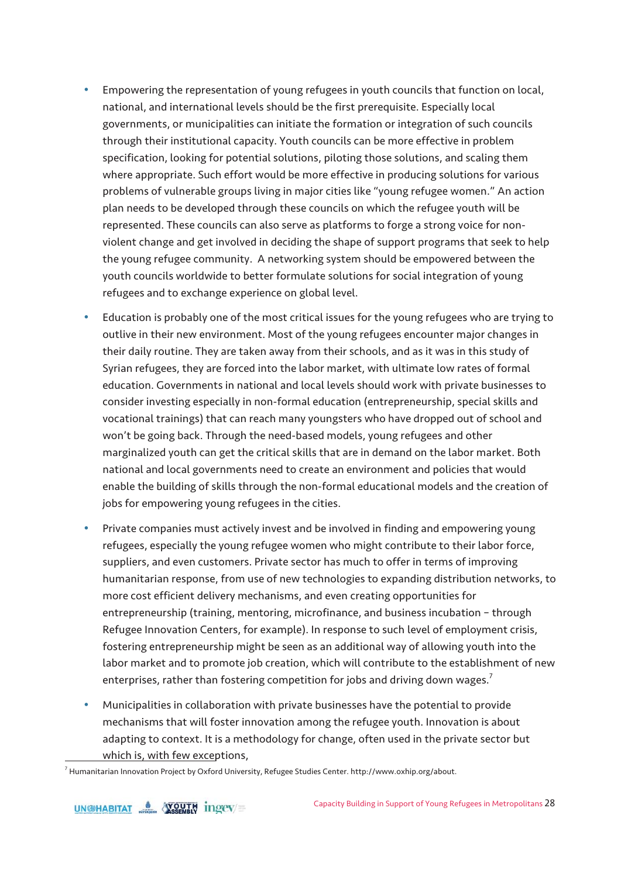- Empowering the representation of young refugees in youth councils that function on local, national, and international levels should be the first prerequisite. Especially local governments, or municipalities can initiate the formation or integration of such councils through their institutional capacity. Youth councils can be more effective in problem specification, looking for potential solutions, piloting those solutions, and scaling them where appropriate. Such effort would be more effective in producing solutions for various problems of vulnerable groups living in major cities like "young refugee women." An action plan needs to be developed through these councils on which the refugee youth will be represented. These councils can also serve as platforms to forge a strong voice for nonviolent change and get involved in deciding the shape of support programs that seek to help the young refugee community. A networking system should be empowered between the youth councils worldwide to better formulate solutions for social integration of young refugees and to exchange experience on global level.
- Education is probably one of the most critical issues for the young refugees who are trying to outlive in their new environment. Most of the young refugees encounter major changes in their daily routine. They are taken away from their schools, and as it was in this study of Syrian refugees, they are forced into the labor market, with ultimate low rates of formal education. Governments in national and local levels should work with private businesses to consider investing especially in non-formal education (entrepreneurship, special skills and vocational trainings) that can reach many youngsters who have dropped out of school and won't be going back. Through the need-based models, young refugees and other marginalized youth can get the critical skills that are in demand on the labor market. Both national and local governments need to create an environment and policies that would enable the building of skills through the non-formal educational models and the creation of jobs for empowering young refugees in the cities.
- Private companies must actively invest and be involved in finding and empowering young refugees, especially the young refugee women who might contribute to their labor force, suppliers, and even customers. Private sector has much to offer in terms of improving humanitarian response, from use of new technologies to expanding distribution networks, to more cost efficient delivery mechanisms, and even creating opportunities for entrepreneurship (training, mentoring, microfinance, and business incubation – through Refugee Innovation Centers, for example). In response to such level of employment crisis, fostering entrepreneurship might be seen as an additional way of allowing youth into the labor market and to promote job creation, which will contribute to the establishment of new enterprises, rather than fostering competition for jobs and driving down wages.<sup>7</sup>
- Municipalities in collaboration with private businesses have the potential to provide mechanisms that will foster innovation among the refugee youth. Innovation is about adapting to context. It is a methodology for change, often used in the private sector but which is, with few exceptions,

<sup>7</sup> Humanitarian Innovation Project by Oxford University, Refugee Studies Center. http://www.oxhip.org/about.